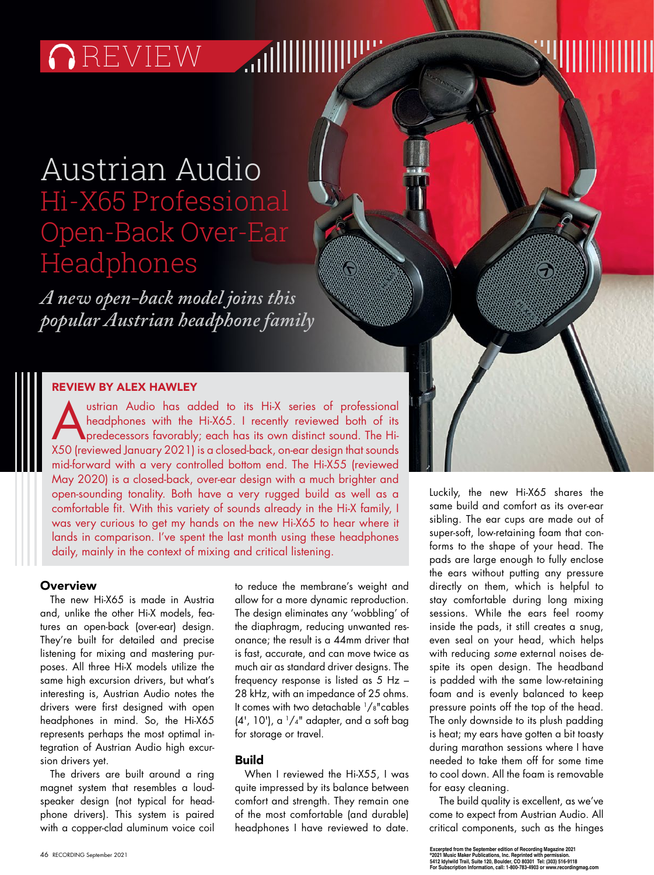# **OREVIEW MILLILLI**

## Austrian Audio Hi-X65 Professional Open-Back Over-Ear Headphones

*A new open-back model joins this popular Austrian headphone family*

### REVIEW BY ALEX HAWLEY

Ustrian Audio has added to its Hi-X series of professional<br>headphones with the Hi-X65. I recently reviewed both of its<br>predecessors favorably; each has its own distinct sound. The Hi-<br>X50 (roviewed lanuary 2021) is a close headphones with the Hi-X65. I recently reviewed both of its X50 (reviewed January 2021) is a closed-back, on-ear design that sounds mid-forward with a very controlled bottom end. The Hi-X55 (reviewed May 2020) is a closed-back, over-ear design with a much brighter and open-sounding tonality. Both have a very rugged build as well as a comfortable fit. With this variety of sounds already in the Hi-X family, I was very curious to get my hands on the new Hi-X65 to hear where it lands in comparison. I've spent the last month using these headphones daily, mainly in the context of mixing and critical listening.

#### **Overview**

The new Hi-X65 is made in Austria and, unlike the other Hi-X models, features an open-back (over-ear) design. They're built for detailed and precise listening for mixing and mastering purposes. All three Hi-X models utilize the same high excursion drivers, but what's interesting is, Austrian Audio notes the drivers were first designed with open headphones in mind. So, the Hi-X65 represents perhaps the most optimal integration of Austrian Audio high excursion drivers yet.

The drivers are built around a ring magnet system that resembles a loudspeaker design (not typical for headphone drivers). This system is paired with a copper-clad aluminum voice coil to reduce the membrane's weight and allow for a more dynamic reproduction. The design eliminates any 'wobbling' of the diaphragm, reducing unwanted resonance; the result is a 44mm driver that is fast, accurate, and can move twice as much air as standard driver designs. The frequency response is listed as 5 Hz – 28 kHz, with an impedance of 25 ohms. It comes with two detachable 1/8"cables  $(4', 10')$ , a  $1/4''$  adapter, and a soft bag for storage or travel.

### Build

When I reviewed the Hi-X55, I was quite impressed by its balance between comfort and strength. They remain one of the most comfortable (and durable) headphones I have reviewed to date.

Luckily, the new Hi-X65 shares the same build and comfort as its over-ear sibling. The ear cups are made out of super-soft, low-retaining foam that conforms to the shape of your head. The pads are large enough to fully enclose the ears without putting any pressure directly on them, which is helpful to stay comfortable during long mixing sessions. While the ears feel roomy inside the pads, it still creates a snug, even seal on your head, which helps with reducing *some* external noises despite its open design. The headband is padded with the same low-retaining foam and is evenly balanced to keep pressure points off the top of the head. The only downside to its plush padding is heat; my ears have gotten a bit toasty during marathon sessions where I have needed to take them off for some time to cool down. All the foam is removable for easy cleaning.

The build quality is excellent, as we've come to expect from Austrian Audio. All critical components, such as the hinges

Excerpted from the September edition of Recording Magazine 2021<br>®2021 Music Maker Publications, Inc. Reprinted with permission.<br>5412 Idylwild Trail, Suite 120, Boulder, CO 80301 Tel: (303) 516-9118 **For Subscription Information, call: 1-800-783-4903 or www.recordingmag.com**